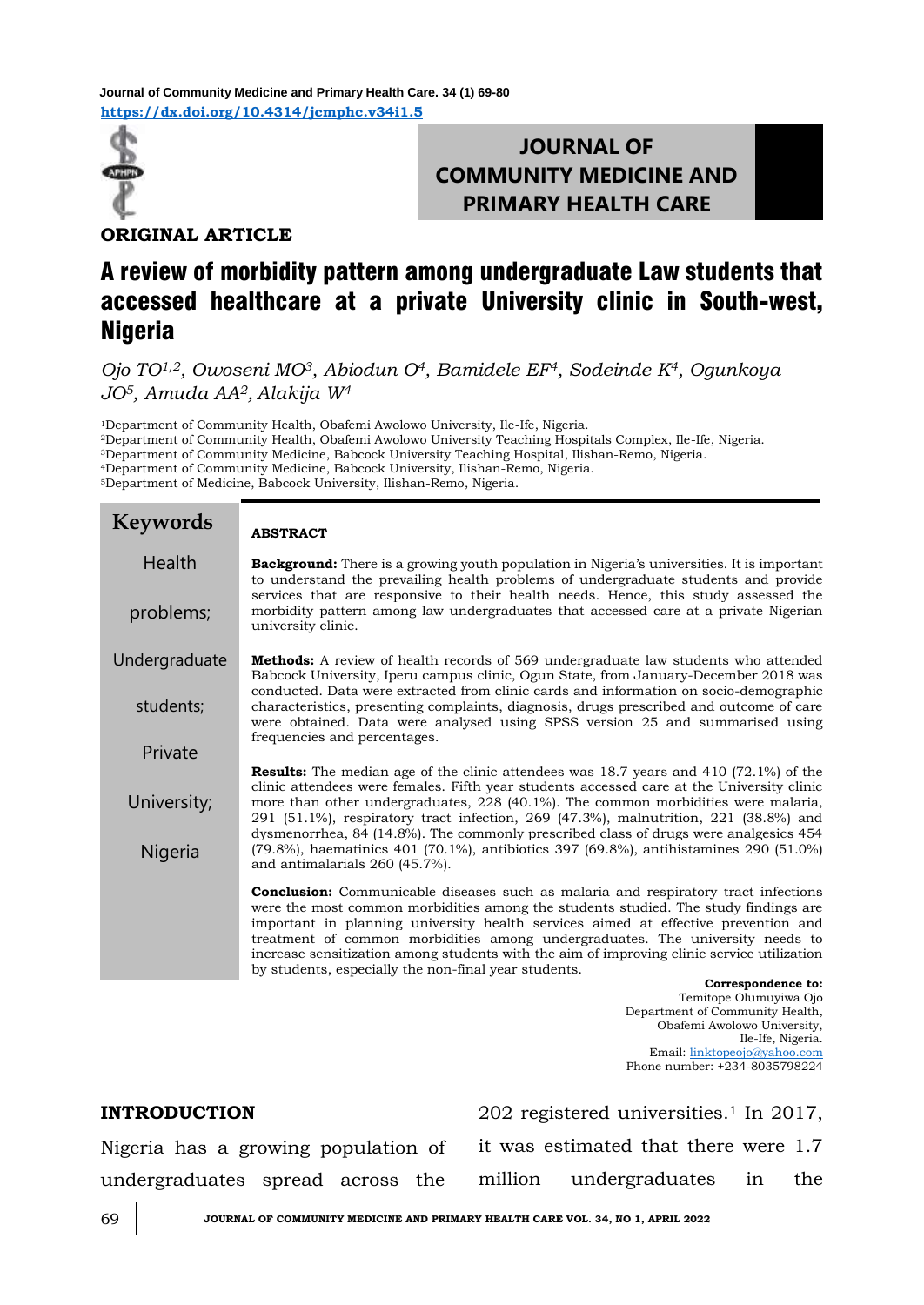**<https://dx.doi.org/10.4314/jcmphc.v34i1.5> Journal of Community Medicine and Primary Health Care. 34 (1) 69-80**



# **JOURNAL OF COMMUNITY MEDICINE AND PRIMARY HEALTH CARE**

**ORIGINAL ARTICLE**

# A review of morbidity pattern among undergraduate Law students that accessed healthcare at a private University clinic in South-west, **Nigeria**

*Ojo TO1,2, Owoseni MO3, Abiodun O4, Bamidele EF4, Sodeinde K4, Ogunkoya JO5, Amuda AA2, Alakija W<sup>4</sup>*

Department of Community Health, Obafemi Awolowo University, Ile-Ife, Nigeria. Department of Community Health, Obafemi Awolowo University Teaching Hospitals Complex, Ile-Ife, Nigeria. Department of Community Medicine, Babcock University Teaching Hospital, Ilishan-Remo, Nigeria. Department of Community Medicine, Babcock University, Ilishan-Remo, Nigeria. Department of Medicine, Babcock University, Ilishan-Remo, Nigeria.

#### **ABSTRACT Background:** There is a growing youth population in Nigeria's universities. It is important to understand the prevailing health problems of undergraduate students and provide services that are responsive to their health needs. Hence, this study assessed the morbidity pattern among law undergraduates that accessed care at a private Nigerian university clinic. **Methods:** A review of health records of 569 undergraduate law students who attended Babcock University, Iperu campus clinic, Ogun State, from January-December 2018 was conducted. Data were extracted from clinic cards and information on socio-demographic characteristics, presenting complaints, diagnosis, drugs prescribed and outcome of care were obtained. Data were analysed using SPSS version 25 and summarised using frequencies and percentages. **Results:** The median age of the clinic attendees was 18.7 years and 410 (72.1%) of the clinic attendees were females. Fifth year students accessed care at the University clinic more than other undergraduates, 228 (40.1%). The common morbidities were malaria, 291 (51.1%), respiratory tract infection, 269 (47.3%), malnutrition, 221 (38.8%) and dysmenorrhea, 84 (14.8%). The commonly prescribed class of drugs were analgesics 454 (79.8%), haematinics 401 (70.1%), antibiotics 397 (69.8%), antihistamines 290 (51.0%) and antimalarials 260 (45.7%). **Conclusion:** Communicable diseases such as malaria and respiratory tract infections were the most common morbidities among the students studied. The study findings are important in planning university health services aimed at effective prevention and treatment of common morbidities among undergraduates. The university needs to increase sensitization among students with the aim of improving clinic service utilization by students, especially the non-final year students. **Correspondence to: Keywords** Health problems; Undergraduate students; Private University; Nigeria

Temitope Olumuyiwa Ojo Department of Community Health, Obafemi Awolowo University, Ile-Ife, Nigeria. Email: [linktopeojo@yahoo.com](mailto:linktopeojo@yahoo.com) Phone number: +234-8035798224

# **INTRODUCTION**

202 registered universities.<sup>1</sup> In 2017, it was estimated that there were 1.7 million undergraduates in the

Nigeria has a growing population of undergraduates spread across the

69 **JOURNAL OF COMMUNITY MEDICINE AND PRIMARY HEALTH CARE VOL. 34, NO 1, APRIL 2022**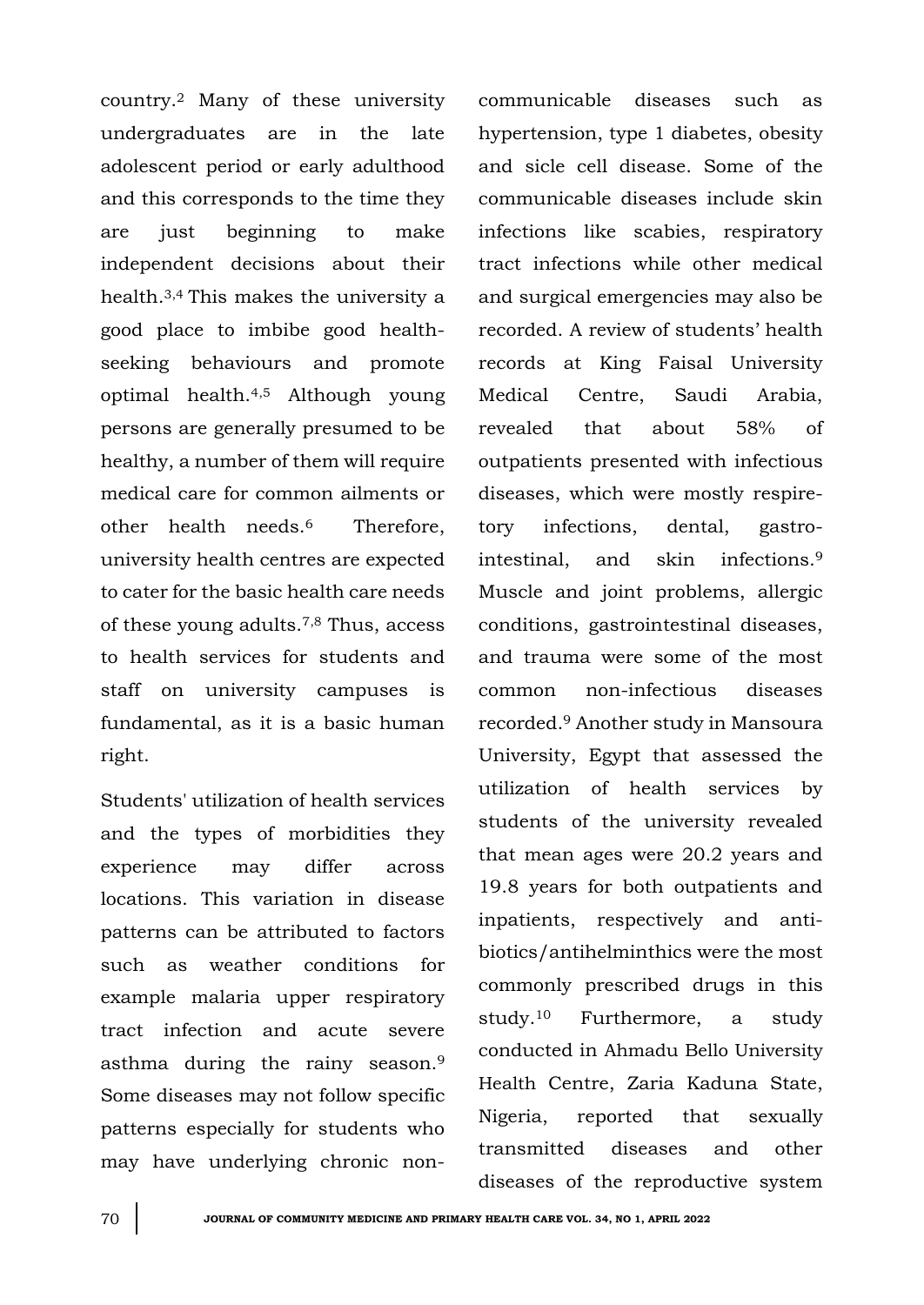country.<sup>2</sup> Many of these university undergraduates are in the late adolescent period or early adulthood and this corresponds to the time they are just beginning to make independent decisions about their health.3,4 This makes the university a good place to imbibe good healthseeking behaviours and promote optimal health.4,5 Although young persons are generally presumed to be healthy, a number of them will require medical care for common ailments or other health needs.6 Therefore, university health centres are expected to cater for the basic health care needs of these young adults.7,8 Thus, access to health services for students and staff on university campuses is fundamental, as it is a basic human right.

Students' utilization of health services and the types of morbidities they experience may differ across locations. This variation in disease patterns can be attributed to factors such as weather conditions for example malaria upper respiratory tract infection and acute severe asthma during the rainy season.<sup>9</sup> Some diseases may not follow specific patterns especially for students who may have underlying chronic noncommunicable diseases such as hypertension, type 1 diabetes, obesity and sicle cell disease. Some of the communicable diseases include skin infections like scabies, respiratory tract infections while other medical and surgical emergencies may also be recorded. A review of students' health records at King Faisal University Medical Centre, Saudi Arabia, revealed that about 58% of outpatients presented with infectious diseases, which were mostly respiretory infections, dental, gastrointestinal, and skin infections.<sup>9</sup> Muscle and joint problems, allergic conditions, gastrointestinal diseases, and trauma were some of the most common non-infectious diseases recorded.<sup>9</sup> Another study in Mansoura University, Egypt that assessed the utilization of health services by students of the university revealed that mean ages were 20.2 years and 19.8 years for both outpatients and inpatients, respectively and antibiotics/antihelminthics were the most commonly prescribed drugs in this study.<sup>10</sup> Furthermore, a study conducted in Ahmadu Bello University Health Centre, Zaria Kaduna State, Nigeria, reported that sexually transmitted diseases and other diseases of the reproductive system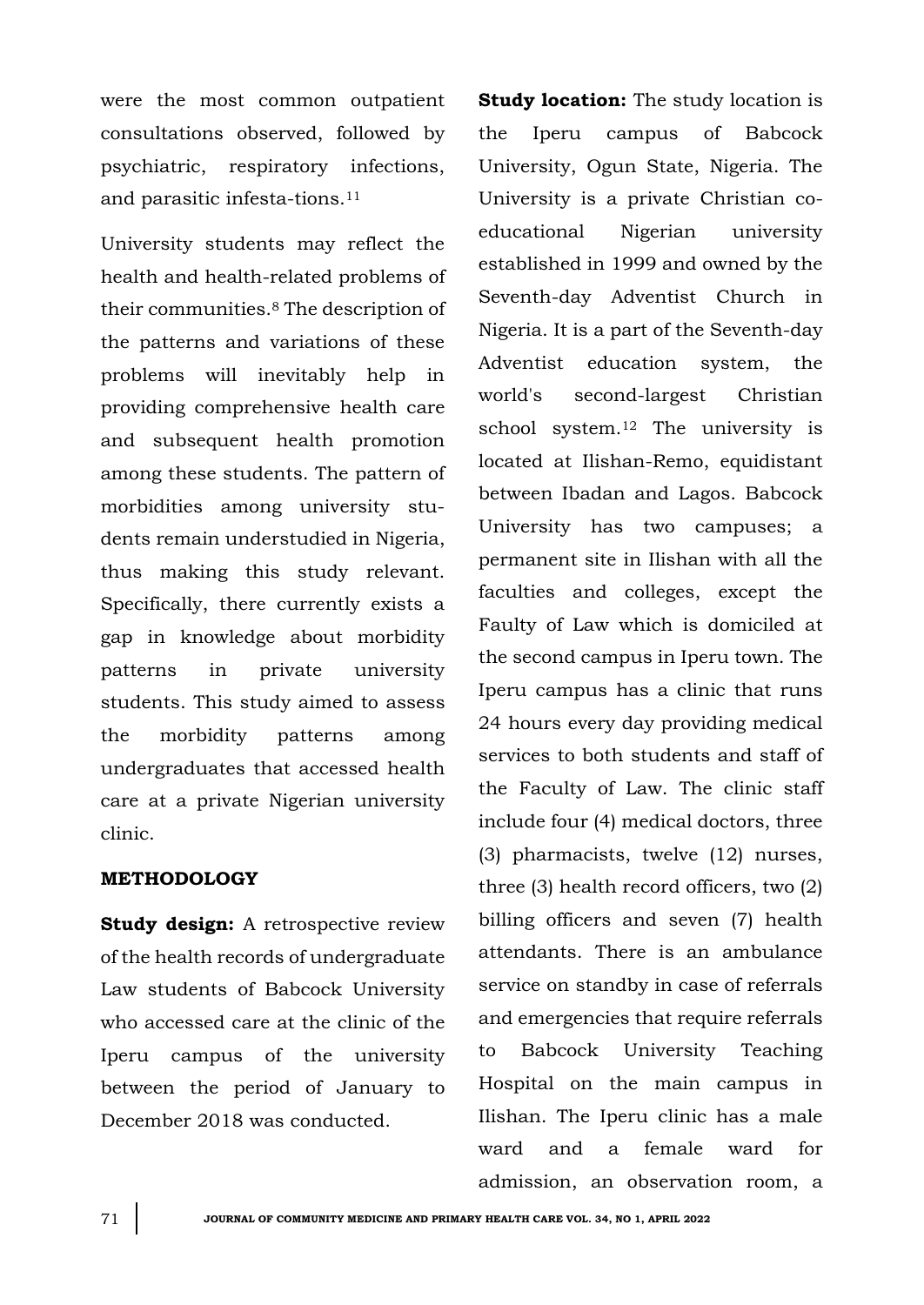were the most common outpatient consultations observed, followed by psychiatric, respiratory infections, and parasitic infesta-tions.<sup>11</sup>

University students may reflect the health and health-related problems of their communities.<sup>8</sup> The description of the patterns and variations of these problems will inevitably help in providing comprehensive health care and subsequent health promotion among these students. The pattern of morbidities among university students remain understudied in Nigeria, thus making this study relevant. Specifically, there currently exists a gap in knowledge about morbidity patterns in private university students. This study aimed to assess the morbidity patterns among undergraduates that accessed health care at a private Nigerian university clinic.

# **METHODOLOGY**

**Study design:** A retrospective review of the health records of undergraduate Law students of Babcock University who accessed care at the clinic of the Iperu campus of the university between the period of January to December 2018 was conducted.

**Study location:** The study location is the Iperu campus of Babcock University, Ogun State, Nigeria. The University is a private Christian coeducational Nigerian university established in 1999 and owned by the Seventh-day Adventist Church in Nigeria. It is a part of the Seventh-day Adventist education system, the world's second-largest Christian school system.<sup>12</sup> The university is located at Ilishan-Remo, equidistant between Ibadan and Lagos. Babcock University has two campuses; a permanent site in Ilishan with all the faculties and colleges, except the Faulty of Law which is domiciled at the second campus in Iperu town. The Iperu campus has a clinic that runs 24 hours every day providing medical services to both students and staff of the Faculty of Law. The clinic staff include four (4) medical doctors, three (3) pharmacists, twelve (12) nurses, three (3) health record officers, two (2) billing officers and seven (7) health attendants. There is an ambulance service on standby in case of referrals and emergencies that require referrals to Babcock University Teaching Hospital on the main campus in Ilishan. The Iperu clinic has a male ward and a female ward for admission, an observation room, a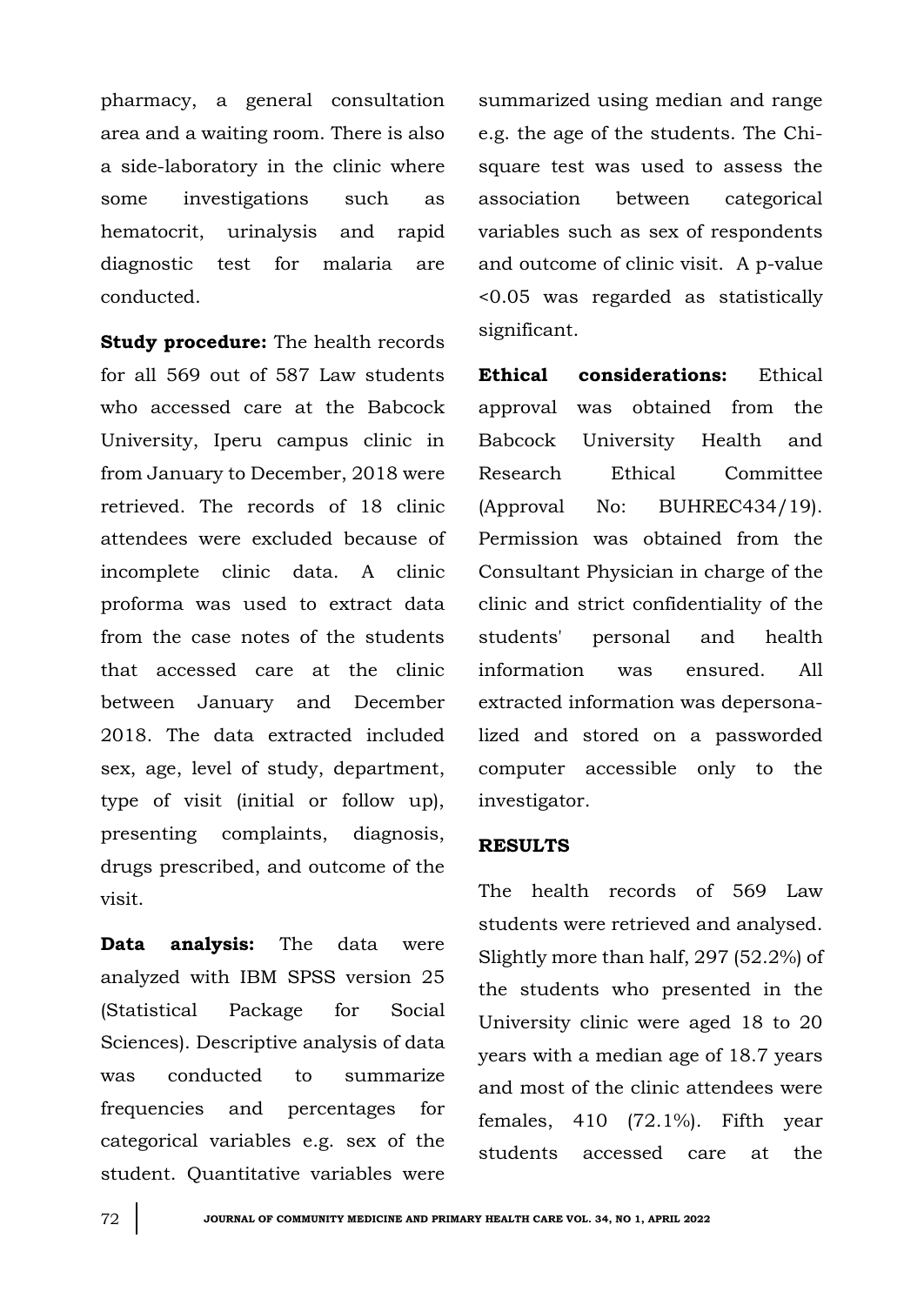pharmacy, a general consultation area and a waiting room. There is also a side-laboratory in the clinic where some investigations such as hematocrit, urinalysis and rapid diagnostic test for malaria are conducted.

**Study procedure:** The health records for all 569 out of 587 Law students who accessed care at the Babcock University, Iperu campus clinic in from January to December, 2018 were retrieved. The records of 18 clinic attendees were excluded because of incomplete clinic data. A clinic proforma was used to extract data from the case notes of the students that accessed care at the clinic between January and December 2018. The data extracted included sex, age, level of study, department, type of visit (initial or follow up), presenting complaints, diagnosis, drugs prescribed, and outcome of the visit.

**Data analysis:** The data were analyzed with IBM SPSS version 25 (Statistical Package for Social Sciences). Descriptive analysis of data was conducted to summarize frequencies and percentages for categorical variables e.g. sex of the student. Quantitative variables were

summarized using median and range e.g. the age of the students. The Chisquare test was used to assess the association between categorical variables such as sex of respondents and outcome of clinic visit. A p-value <0.05 was regarded as statistically significant.

**Ethical considerations:** Ethical approval was obtained from the Babcock University Health and Research Ethical Committee (Approval No: BUHREC434/19). Permission was obtained from the Consultant Physician in charge of the clinic and strict confidentiality of the students' personal and health information was ensured. All extracted information was depersonalized and stored on a passworded computer accessible only to the investigator.

#### **RESULTS**

The health records of 569 Law students were retrieved and analysed. Slightly more than half, 297 (52.2%) of the students who presented in the University clinic were aged 18 to 20 years with a median age of 18.7 years and most of the clinic attendees were females, 410 (72.1%). Fifth year students accessed care at the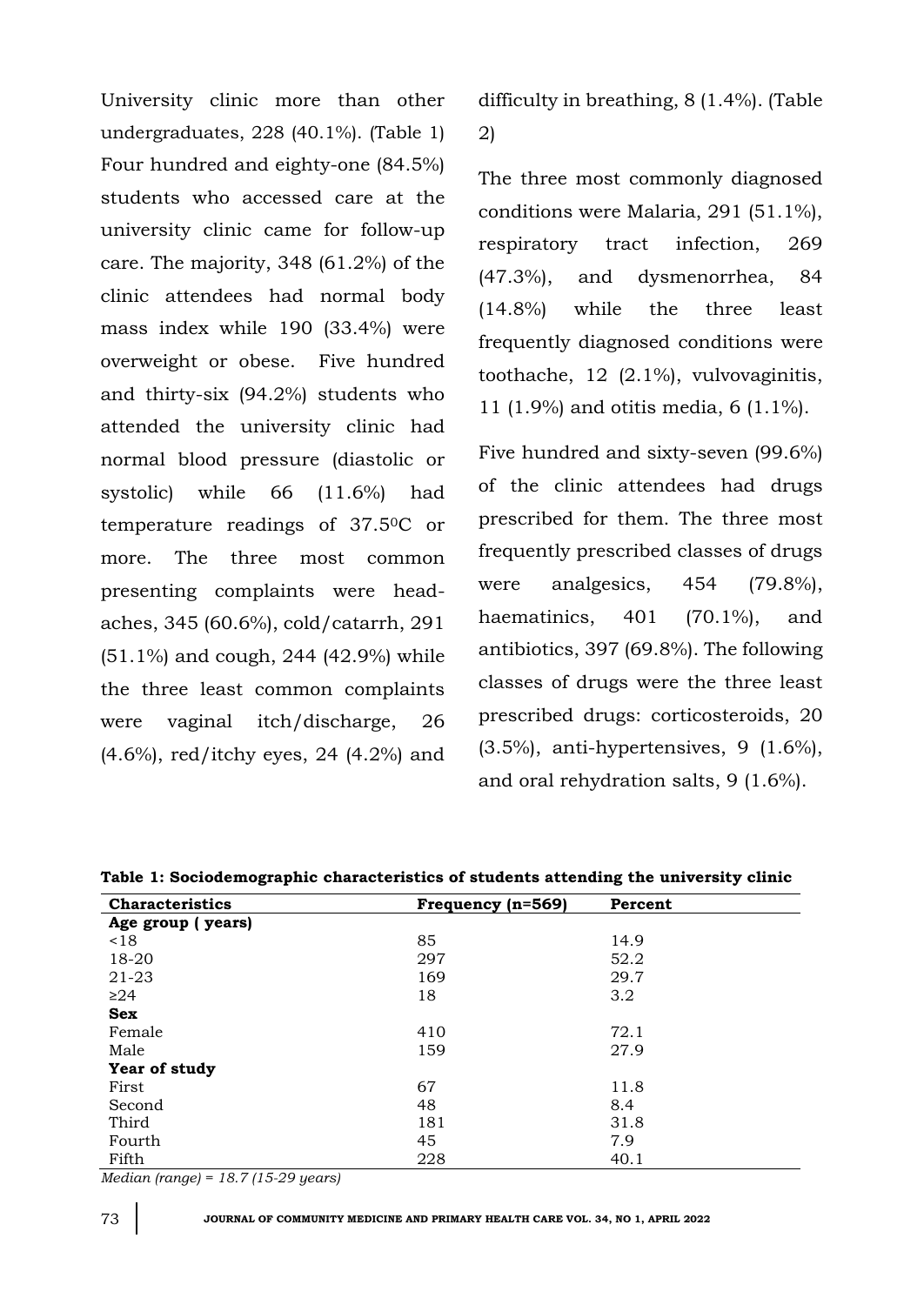University clinic more than other undergraduates, 228 (40.1%). (Table 1) Four hundred and eighty-one (84.5%) students who accessed care at the university clinic came for follow-up care. The majority, 348 (61.2%) of the clinic attendees had normal body mass index while 190 (33.4%) were overweight or obese. Five hundred and thirty-six (94.2%) students who attended the university clinic had normal blood pressure (diastolic or systolic) while 66 (11.6%) had temperature readings of 37.50C or more. The three most common presenting complaints were headaches, 345 (60.6%), cold/catarrh, 291 (51.1%) and cough, 244 (42.9%) while the three least common complaints were vaginal itch/discharge, 26 (4.6%), red/itchy eyes, 24 (4.2%) and difficulty in breathing, 8 (1.4%). (Table 2)

The three most commonly diagnosed conditions were Malaria, 291 (51.1%), respiratory tract infection, 269 (47.3%), and dysmenorrhea, 84 (14.8%) while the three least frequently diagnosed conditions were toothache, 12 (2.1%), vulvovaginitis, 11 (1.9%) and otitis media, 6 (1.1%).

Five hundred and sixty-seven (99.6%) of the clinic attendees had drugs prescribed for them. The three most frequently prescribed classes of drugs were analgesics, 454 (79.8%), haematinics, 401 (70.1%), and antibiotics, 397 (69.8%). The following classes of drugs were the three least prescribed drugs: corticosteroids, 20  $(3.5\%)$ , anti-hypertensives, 9  $(1.6\%)$ , and oral rehydration salts, 9 (1.6%).

| <b>Characteristics</b> | Frequency (n=569) | Percent |  |
|------------------------|-------------------|---------|--|
| Age group (years)      |                   |         |  |
| ~18                    | 85                | 14.9    |  |
| 18-20                  | 297               | 52.2    |  |
| 21-23                  | 169               | 29.7    |  |
| $\geq$ 24              | 18                | 3.2     |  |
| <b>Sex</b>             |                   |         |  |
| Female                 | 410               | 72.1    |  |
| Male                   | 159               | 27.9    |  |
| Year of study          |                   |         |  |
| First                  | 67                | 11.8    |  |
| Second                 | 48                | 8.4     |  |
| Third                  | 181               | 31.8    |  |
| Fourth                 | 45                | 7.9     |  |
| Fifth                  | 228               | 40.1    |  |

**Table 1: Sociodemographic characteristics of students attending the university clinic**

*Median (range) = 18.7 (15-29 years)*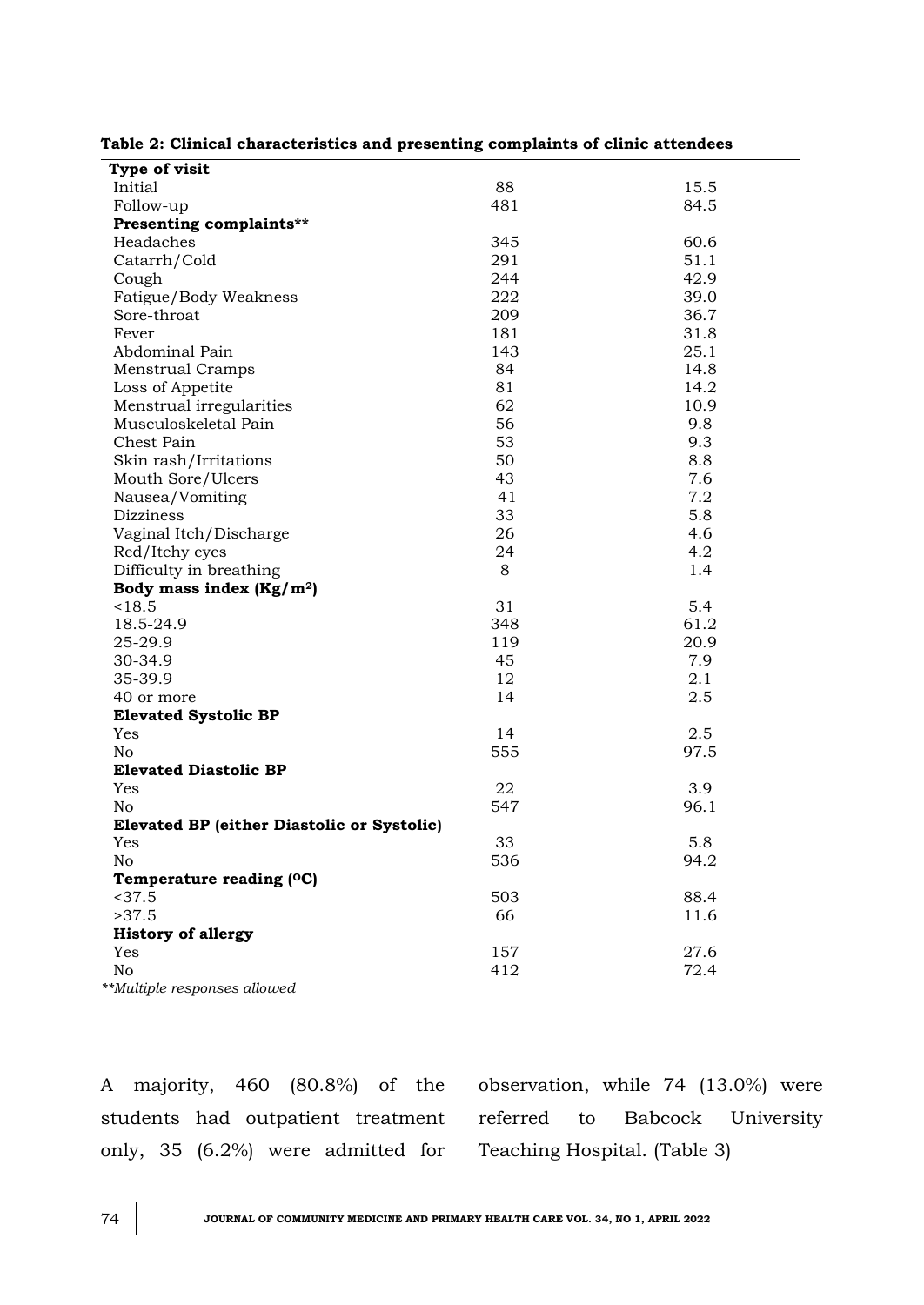| Type of visit                                     |     |      |
|---------------------------------------------------|-----|------|
| Initial                                           | 88  | 15.5 |
| Follow-up                                         | 481 | 84.5 |
| Presenting complaints**                           |     |      |
| Headaches                                         | 345 | 60.6 |
| Catarrh/Cold                                      | 291 | 51.1 |
| Cough                                             | 244 | 42.9 |
| Fatigue/Body Weakness                             | 222 | 39.0 |
| Sore-throat                                       | 209 | 36.7 |
| Fever                                             | 181 | 31.8 |
| Abdominal Pain                                    | 143 | 25.1 |
| <b>Menstrual Cramps</b>                           | 84  | 14.8 |
| Loss of Appetite                                  | 81  | 14.2 |
| Menstrual irregularities                          | 62  | 10.9 |
| Musculoskeletal Pain                              | 56  | 9.8  |
| Chest Pain                                        | 53  | 9.3  |
| Skin rash/Irritations                             | 50  | 8.8  |
| Mouth Sore/Ulcers                                 | 43  | 7.6  |
| Nausea/Vomiting                                   | 41  | 7.2  |
| <b>Dizziness</b>                                  | 33  | 5.8  |
| Vaginal Itch/Discharge                            | 26  | 4.6  |
| Red/Itchy eyes                                    | 24  | 4.2  |
| Difficulty in breathing                           | 8   | 1.4  |
| Body mass index $(Kg/m2)$                         |     |      |
| < 18.5                                            | 31  | 5.4  |
| 18.5-24.9                                         | 348 | 61.2 |
| 25-29.9                                           | 119 | 20.9 |
| 30-34.9                                           | 45  | 7.9  |
| 35-39.9                                           | 12  | 2.1  |
| 40 or more                                        | 14  | 2.5  |
| <b>Elevated Systolic BP</b>                       |     |      |
| Yes                                               | 14  | 2.5  |
| N <sub>o</sub>                                    | 555 | 97.5 |
| <b>Elevated Diastolic BP</b>                      |     |      |
| Yes                                               | 22  | 3.9  |
| No                                                | 547 | 96.1 |
| <b>Elevated BP (either Diastolic or Systolic)</b> |     |      |
| Yes                                               | 33  | 5.8  |
| No                                                | 536 | 94.2 |
| Temperature reading (OC)                          |     |      |
| < 37.5                                            | 503 | 88.4 |
| >37.5                                             | 66  | 11.6 |
| <b>History of allergy</b>                         |     |      |
| Yes                                               | 157 | 27.6 |
| No                                                | 412 | 72.4 |

*\*\*Multiple responses allowed*

A majority, 460 (80.8%) of the students had outpatient treatment only, 35 (6.2%) were admitted for

observation, while 74 (13.0%) were referred to Babcock University Teaching Hospital. (Table 3)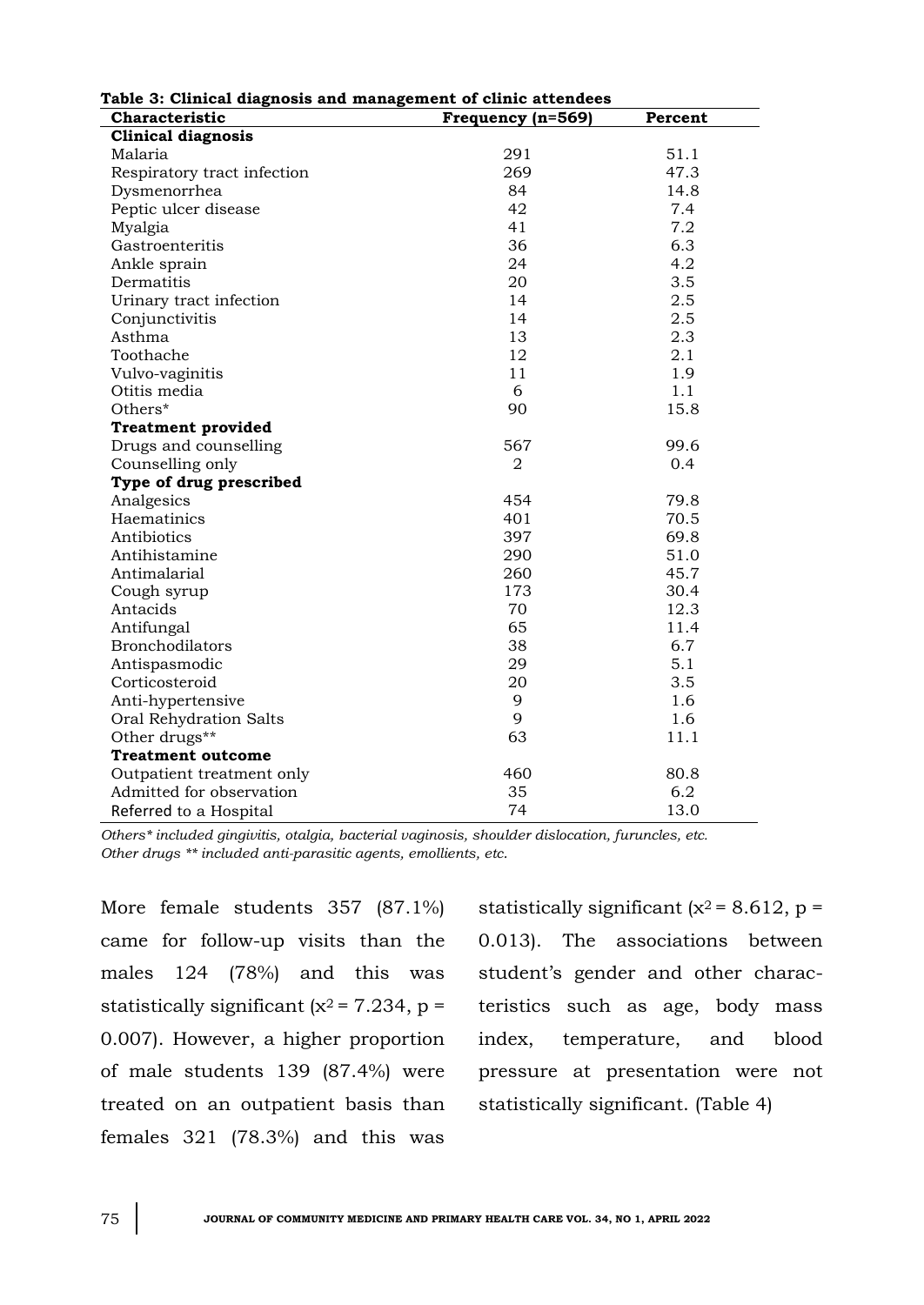| rable 3: Chnical diagnosis and management of clinic attendees |                   |         |  |  |
|---------------------------------------------------------------|-------------------|---------|--|--|
| Characteristic                                                | Frequency (n=569) | Percent |  |  |
| <b>Clinical diagnosis</b>                                     |                   |         |  |  |
| Malaria                                                       | 291               | 51.1    |  |  |
| Respiratory tract infection                                   | 269               | 47.3    |  |  |
| Dysmenorrhea                                                  | 84                | 14.8    |  |  |
| Peptic ulcer disease                                          | 42                | 7.4     |  |  |
| Myalgia                                                       | 41                | 7.2     |  |  |
| Gastroenteritis                                               | 36                | 6.3     |  |  |
| Ankle sprain                                                  | 24                | 4.2     |  |  |
| Dermatitis                                                    | 20                | 3.5     |  |  |
| Urinary tract infection                                       | 14                | 2.5     |  |  |
| Conjunctivitis                                                | 14                | 2.5     |  |  |
| Asthma                                                        | 13                | 2.3     |  |  |
| Toothache                                                     | 12                | 2.1     |  |  |
| Vulvo-vaginitis                                               | 11                | 1.9     |  |  |
| Otitis media                                                  | 6                 | 1.1     |  |  |
| Others*                                                       | 90                | 15.8    |  |  |
| <b>Treatment provided</b>                                     |                   |         |  |  |
| Drugs and counselling                                         | 567               | 99.6    |  |  |
| Counselling only                                              | $\overline{2}$    | 0.4     |  |  |
| Type of drug prescribed                                       |                   |         |  |  |
| Analgesics                                                    | 454               | 79.8    |  |  |
| Haematinics                                                   | 401               | 70.5    |  |  |
| Antibiotics                                                   | 397               | 69.8    |  |  |
| Antihistamine                                                 | 290               | 51.0    |  |  |
| Antimalarial                                                  | 260               | 45.7    |  |  |
| Cough syrup                                                   | 173               | 30.4    |  |  |
| Antacids                                                      | 70                | 12.3    |  |  |
| Antifungal                                                    | 65                | 11.4    |  |  |
| Bronchodilators                                               | 38                | 6.7     |  |  |
| Antispasmodic                                                 | 29                | 5.1     |  |  |
| Corticosteroid                                                | 20                | 3.5     |  |  |
| Anti-hypertensive                                             | 9                 | 1.6     |  |  |
| Oral Rehydration Salts                                        | 9                 | 1.6     |  |  |
| Other drugs**                                                 | 63                | 11.1    |  |  |
| <b>Treatment outcome</b>                                      |                   |         |  |  |
| Outpatient treatment only                                     | 460               | 80.8    |  |  |
| Admitted for observation                                      | 35                | 6.2     |  |  |
| Referred to a Hospital                                        | 74                | 13.0    |  |  |

**Table 3: Clinical diagnosis and management of clinic attendees**

*Others\* included gingivitis, otalgia, bacterial vaginosis, shoulder dislocation, furuncles, etc. Other drugs \*\* included anti-parasitic agents, emollients, etc.*

More female students 357 (87.1%) came for follow-up visits than the males 124 (78%) and this was statistically significant ( $x^2$  = 7.234, p = 0.007). However, a higher proportion of male students 139 (87.4%) were treated on an outpatient basis than females 321 (78.3%) and this was

statistically significant ( $x^2$  = 8.612, p = 0.013). The associations between student's gender and other characteristics such as age, body mass index, temperature, and blood pressure at presentation were not statistically significant. (Table 4)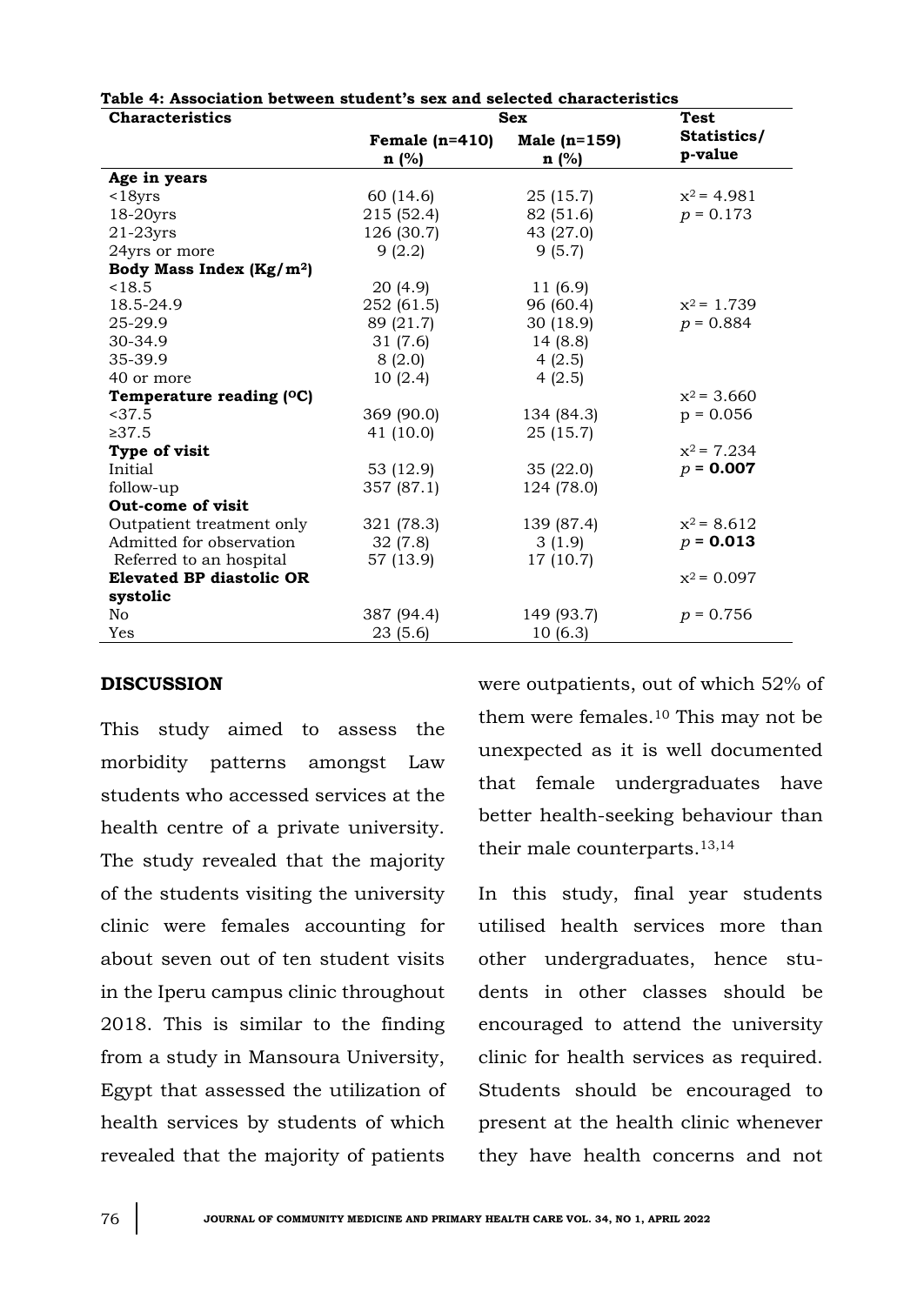| <b>Characteristics</b>               | <b>Sex</b>       |                | <b>Test</b>   |
|--------------------------------------|------------------|----------------|---------------|
|                                      | Female $(n=410)$ | Male $(n=159)$ | Statistics/   |
|                                      | n(%)             | $n$ (%)        | p-value       |
| Age in years                         |                  |                |               |
| $<$ 18 $yrs$                         | 60 (14.6)        | 25(15.7)       | $x^2$ = 4.981 |
| 18-20yrs                             | 215 (52.4)       | 82 (51.6)      | $p = 0.173$   |
| $21-23yrs$                           | 126 (30.7)       | 43 (27.0)      |               |
| 24yrs or more                        | 9(2.2)           | 9(5.7)         |               |
| Body Mass Index (Kg/m <sup>2</sup> ) |                  |                |               |
| < 18.5                               | 20(4.9)          | 11 (6.9)       |               |
| 18.5-24.9                            | 252 (61.5)       | 96 (60.4)      | $x^2$ = 1.739 |
| 25-29.9                              | 89 (21.7)        | 30 (18.9)      | $p = 0.884$   |
| 30-34.9                              | 31(7.6)          | 14 (8.8)       |               |
| 35-39.9                              | 8(2.0)           | 4(2.5)         |               |
| 40 or more                           | 10(2.4)          | 4(2.5)         |               |
| Temperature reading (°C)             |                  |                | $x^2$ = 3.660 |
| < 37.5                               | 369 (90.0)       | 134 (84.3)     | $p = 0.056$   |
| >37.5                                | 41 (10.0)        | 25 (15.7)      |               |
| Type of visit                        |                  |                | $x^2$ = 7.234 |
| Initial                              | 53 (12.9)        | 35(22.0)       | $p = 0.007$   |
| follow-up                            | 357 (87.1)       | 124 (78.0)     |               |
| Out-come of visit                    |                  |                |               |
| Outpatient treatment only            | 321 (78.3)       | 139 (87.4)     | $x^2$ = 8.612 |
| Admitted for observation             | 32(7.8)          | 3(1.9)         | $p = 0.013$   |
| Referred to an hospital              | 57 (13.9)        | 17 (10.7)      |               |
| <b>Elevated BP diastolic OR</b>      |                  |                | $x^2$ = 0.097 |
| systolic                             |                  |                |               |
| No                                   | 387 (94.4)       | 149 (93.7)     | $p = 0.756$   |
| Yes                                  | 23(5.6)          | 10(6.3)        |               |

#### **Table 4: Association between student's sex and selected characteristics**

### **DISCUSSION**

This study aimed to assess the morbidity patterns amongst Law students who accessed services at the health centre of a private university. The study revealed that the majority of the students visiting the university clinic were females accounting for about seven out of ten student visits in the Iperu campus clinic throughout 2018. This is similar to the finding from a study in Mansoura University, Egypt that assessed the utilization of health services by students of which revealed that the majority of patients

were outpatients, out of which 52% of them were females.<sup>10</sup> This may not be unexpected as it is well documented that female undergraduates have better health-seeking behaviour than their male counterparts.13,14

In this study, final year students utilised health services more than other undergraduates, hence students in other classes should be encouraged to attend the university clinic for health services as required. Students should be encouraged to present at the health clinic whenever they have health concerns and not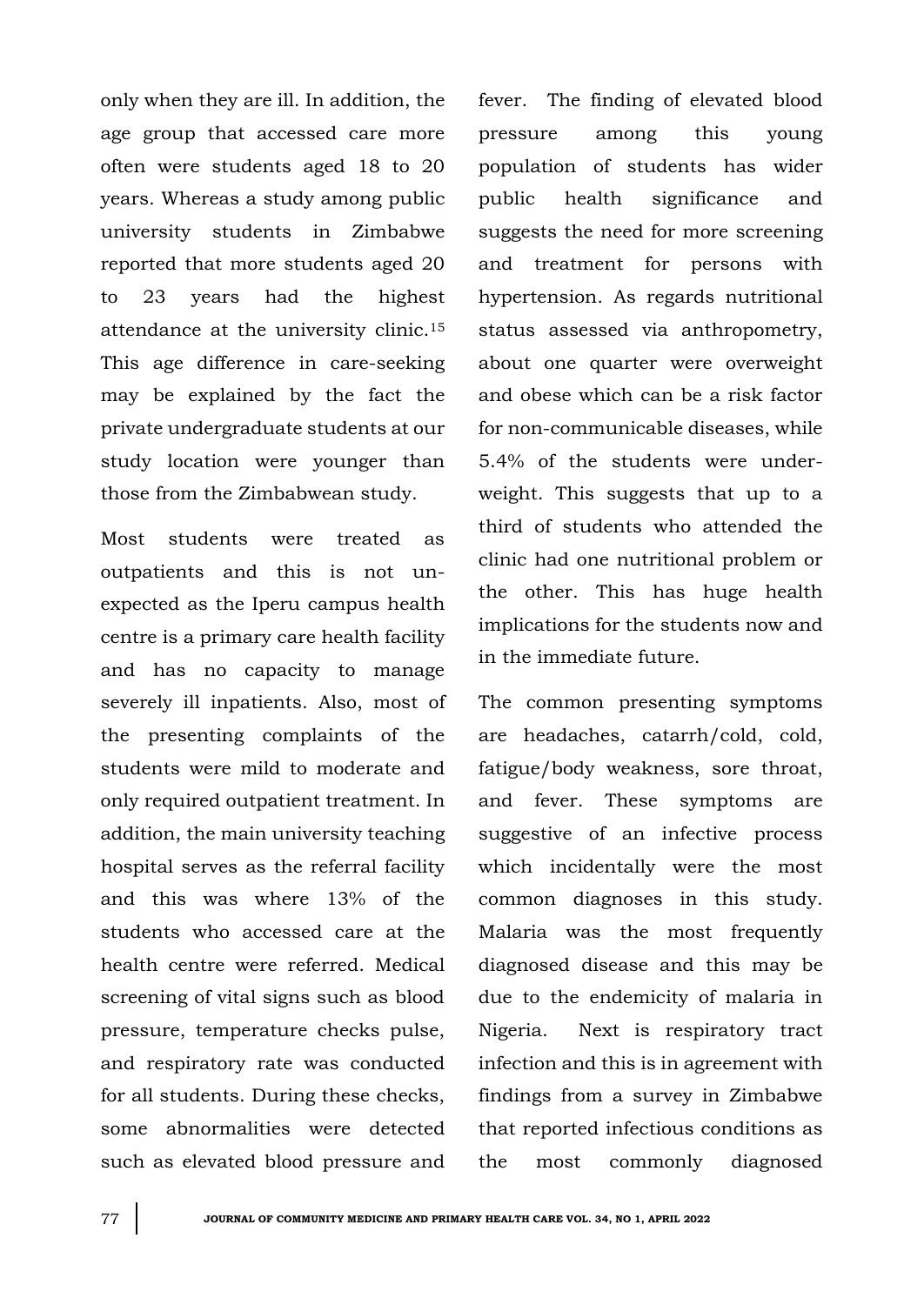only when they are ill. In addition, the age group that accessed care more often were students aged 18 to 20 years. Whereas a study among public university students in Zimbabwe reported that more students aged 20 to 23 years had the highest attendance at the university clinic.<sup>15</sup> This age difference in care-seeking may be explained by the fact the private undergraduate students at our study location were younger than those from the Zimbabwean study.

Most students were treated as outpatients and this is not unexpected as the Iperu campus health centre is a primary care health facility and has no capacity to manage severely ill inpatients. Also, most of the presenting complaints of the students were mild to moderate and only required outpatient treatment. In addition, the main university teaching hospital serves as the referral facility and this was where 13% of the students who accessed care at the health centre were referred. Medical screening of vital signs such as blood pressure, temperature checks pulse, and respiratory rate was conducted for all students. During these checks, some abnormalities were detected such as elevated blood pressure and

fever. The finding of elevated blood pressure among this young population of students has wider public health significance and suggests the need for more screening and treatment for persons with hypertension. As regards nutritional status assessed via anthropometry, about one quarter were overweight and obese which can be a risk factor for non-communicable diseases, while 5.4% of the students were underweight. This suggests that up to a third of students who attended the clinic had one nutritional problem or the other. This has huge health implications for the students now and in the immediate future.

The common presenting symptoms are headaches, catarrh/cold, cold, fatigue/body weakness, sore throat, and fever. These symptoms are suggestive of an infective process which incidentally were the most common diagnoses in this study. Malaria was the most frequently diagnosed disease and this may be due to the endemicity of malaria in Nigeria. Next is respiratory tract infection and this is in agreement with findings from a survey in Zimbabwe that reported infectious conditions as the most commonly diagnosed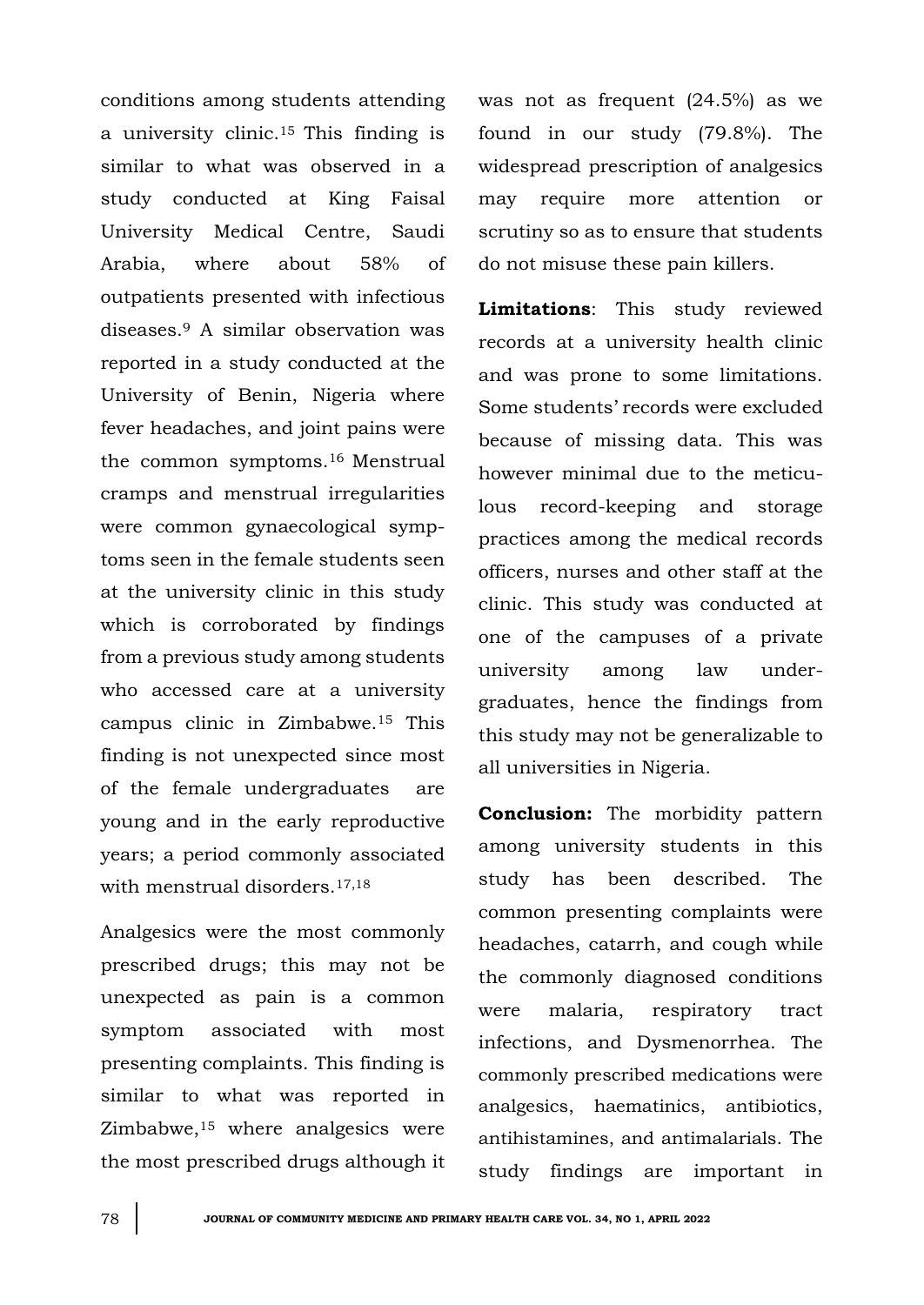conditions among students attending a university clinic.<sup>15</sup> This finding is similar to what was observed in a study conducted at King Faisal University Medical Centre, Saudi Arabia, where about 58% of outpatients presented with infectious diseases.<sup>9</sup> A similar observation was reported in a study conducted at the University of Benin, Nigeria where fever headaches, and joint pains were the common symptoms.<sup>16</sup> Menstrual cramps and menstrual irregularities were common gynaecological symptoms seen in the female students seen at the university clinic in this study which is corroborated by findings from a previous study among students who accessed care at a university campus clinic in Zimbabwe.<sup>15</sup> This finding is not unexpected since most of the female undergraduates are young and in the early reproductive years; a period commonly associated with menstrual disorders.<sup>17,18</sup>

Analgesics were the most commonly prescribed drugs; this may not be unexpected as pain is a common symptom associated with most presenting complaints. This finding is similar to what was reported in Zimbabwe,<sup>15</sup> where analgesics were the most prescribed drugs although it was not as frequent (24.5%) as we found in our study (79.8%). The widespread prescription of analgesics may require more attention or scrutiny so as to ensure that students do not misuse these pain killers.

**Limitations**: This study reviewed records at a university health clinic and was prone to some limitations. Some students' records were excluded because of missing data. This was however minimal due to the meticulous record-keeping and storage practices among the medical records officers, nurses and other staff at the clinic. This study was conducted at one of the campuses of a private university among law undergraduates, hence the findings from this study may not be generalizable to all universities in Nigeria.

**Conclusion:** The morbidity pattern among university students in this study has been described. The common presenting complaints were headaches, catarrh, and cough while the commonly diagnosed conditions were malaria, respiratory tract infections, and Dysmenorrhea. The commonly prescribed medications were analgesics, haematinics, antibiotics, antihistamines, and antimalarials. The study findings are important in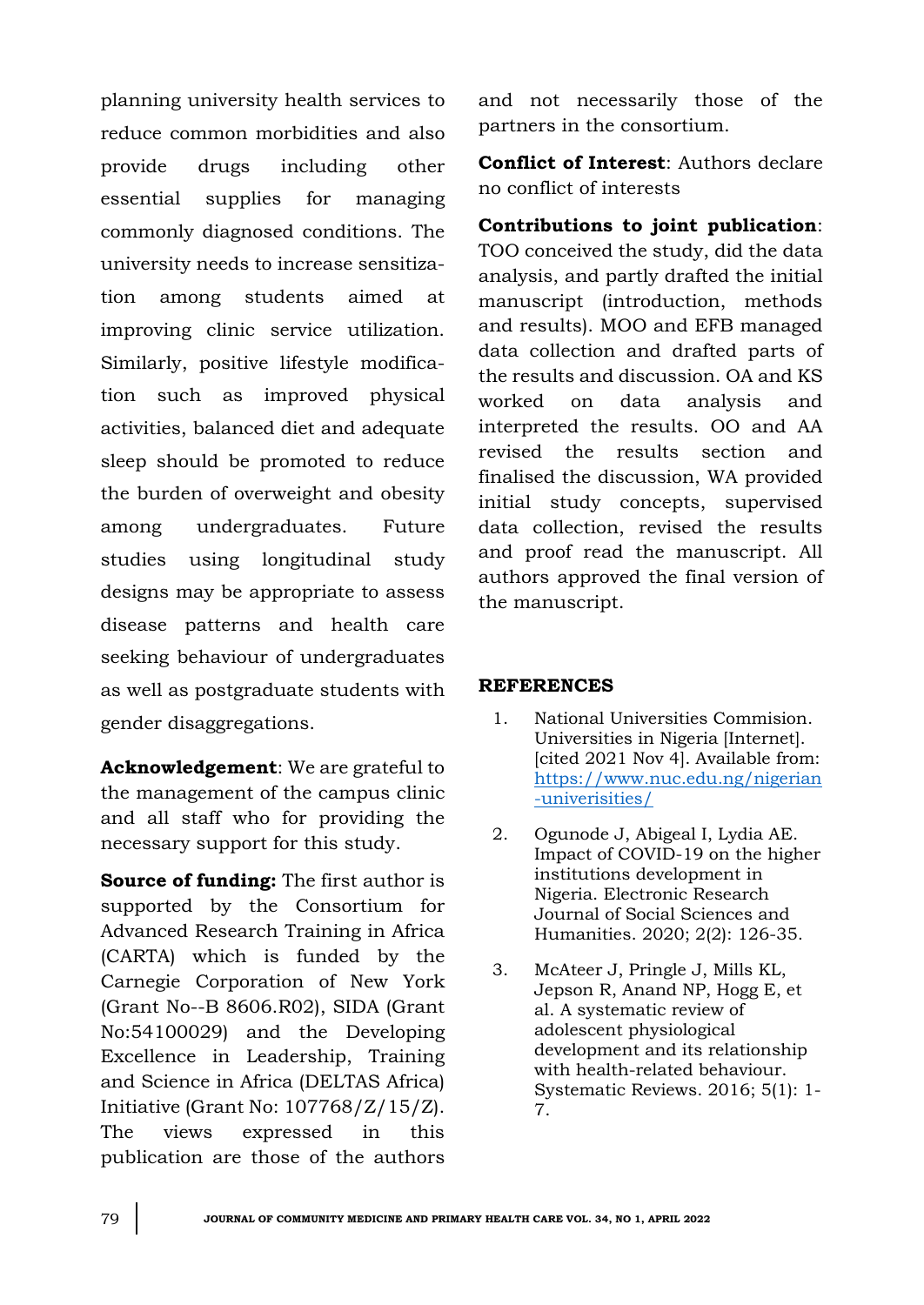planning university health services to reduce common morbidities and also provide drugs including other essential supplies for managing commonly diagnosed conditions. The university needs to increase sensitization among students aimed at improving clinic service utilization. Similarly, positive lifestyle modification such as improved physical activities, balanced diet and adequate sleep should be promoted to reduce the burden of overweight and obesity among undergraduates. Future studies using longitudinal study designs may be appropriate to assess disease patterns and health care seeking behaviour of undergraduates as well as postgraduate students with gender disaggregations.

**Acknowledgement**: We are grateful to the management of the campus clinic and all staff who for providing the necessary support for this study.

**Source of funding:** The first author is supported by the Consortium for Advanced Research Training in Africa (CARTA) which is funded by the Carnegie Corporation of New York (Grant No--B 8606.R02), SIDA (Grant No:54100029) and the Developing Excellence in Leadership, Training and Science in Africa (DELTAS Africa) Initiative (Grant No: 107768/Z/15/Z). The views expressed in this publication are those of the authors

and not necessarily those of the partners in the consortium.

**Conflict of Interest**: Authors declare no conflict of interests

# **Contributions to joint publication**:

TOO conceived the study, did the data analysis, and partly drafted the initial manuscript (introduction, methods and results). MOO and EFB managed data collection and drafted parts of the results and discussion. OA and KS worked on data analysis and interpreted the results. OO and AA revised the results section and finalised the discussion, WA provided initial study concepts, supervised data collection, revised the results and proof read the manuscript. All authors approved the final version of the manuscript.

# **REFERENCES**

- 1. National Universities Commision. Universities in Nigeria [Internet]. [cited 2021 Nov 4]. Available from: [https://www.nuc.edu.ng/nigerian](https://www.nuc.edu.ng/nigerian-univerisities/) [-univerisities/](https://www.nuc.edu.ng/nigerian-univerisities/)
- 2. Ogunode J, Abigeal I, Lydia AE. Impact of COVID-19 on the higher institutions development in Nigeria. Electronic Research Journal of Social Sciences and Humanities. 2020; 2(2): 126-35.
- 3. McAteer J, Pringle J, Mills KL, Jepson R, Anand NP, Hogg E, et al. A systematic review of adolescent physiological development and its relationship with health-related behaviour. Systematic Reviews. 2016; 5(1): 1- 7.